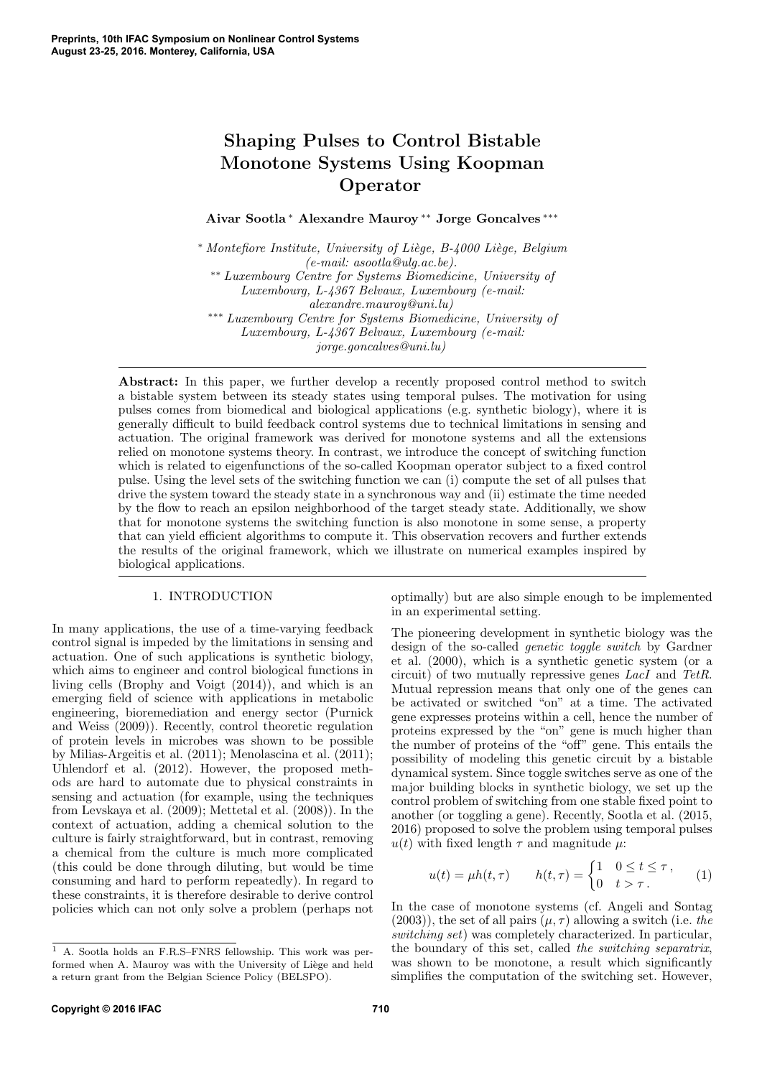# Shaping Pulses to Control Bistable Monotone Systems Using Koopman Operator

Aivar Sootla <sup>∗</sup> Alexandre Mauroy ∗∗ Jorge Goncalves ∗∗∗

<sup>∗</sup> Montefiore Institute, University of Liège, B-4000 Liège, Belgium (e-mail: asootla@ulg.ac.be). ∗∗ Luxembourg Centre for Systems Biomedicine, University of Luxembourg, L-4367 Belvaux, Luxembourg (e-mail: alexandre.mauroy@uni.lu) ∗∗∗ Luxembourg Centre for Systems Biomedicine, University of Luxembourg, L-4367 Belvaux, Luxembourg (e-mail: jorge.goncalves@uni.lu)

Abstract: In this paper, we further develop a recently proposed control method to switch a bistable system between its steady states using temporal pulses. The motivation for using pulses comes from biomedical and biological applications (e.g. synthetic biology), where it is generally difficult to build feedback control systems due to technical limitations in sensing and actuation. The original framework was derived for monotone systems and all the extensions relied on monotone systems theory. In contrast, we introduce the concept of switching function which is related to eigenfunctions of the so-called Koopman operator subject to a fixed control pulse. Using the level sets of the switching function we can (i) compute the set of all pulses that drive the system toward the steady state in a synchronous way and (ii) estimate the time needed by the flow to reach an epsilon neighborhood of the target steady state. Additionally, we show that for monotone systems the switching function is also monotone in some sense, a property that can yield efficient algorithms to compute it. This observation recovers and further extends the results of the original framework, which we illustrate on numerical examples inspired by biological applications.

# 1. INTRODUCTION

In many applications, the use of a time-varying feedback control signal is impeded by the limitations in sensing and actuation. One of such applications is synthetic biology, which aims to engineer and control biological functions in living cells (Brophy and Voigt (2014)), and which is an emerging field of science with applications in metabolic engineering, bioremediation and energy sector (Purnick and Weiss (2009)). Recently, control theoretic regulation of protein levels in microbes was shown to be possible by Milias-Argeitis et al. (2011); Menolascina et al. (2011); Uhlendorf et al. (2012). However, the proposed methods are hard to automate due to physical constraints in sensing and actuation (for example, using the techniques from Levskaya et al. (2009); Mettetal et al. (2008)). In the context of actuation, adding a chemical solution to the culture is fairly straightforward, but in contrast, removing a chemical from the culture is much more complicated (this could be done through diluting, but would be time consuming and hard to perform repeatedly). In regard to these constraints, it is therefore desirable to derive control policies which can not only solve a problem (perhaps not

optimally) but are also simple enough to be implemented in an experimental setting.

The pioneering development in synthetic biology was the design of the so-called genetic toggle switch by Gardner et al. (2000), which is a synthetic genetic system (or a circuit) of two mutually repressive genes LacI and TetR. Mutual repression means that only one of the genes can be activated or switched "on" at a time. The activated gene expresses proteins within a cell, hence the number of proteins expressed by the "on" gene is much higher than the number of proteins of the "off" gene. This entails the possibility of modeling this genetic circuit by a bistable dynamical system. Since toggle switches serve as one of the major building blocks in synthetic biology, we set up the control problem of switching from one stable fixed point to another (or toggling a gene). Recently, Sootla et al. (2015, 2016) proposed to solve the problem using temporal pulses  $u(t)$  with fixed length  $\tau$  and magnitude  $\mu$ :

$$
u(t) = \mu h(t, \tau) \qquad h(t, \tau) = \begin{cases} 1 & 0 \le t \le \tau, \\ 0 & t > \tau. \end{cases} \tag{1}
$$

In the case of monotone systems (cf. Angeli and Sontag (2003)), the set of all pairs  $(\mu, \tau)$  allowing a switch (i.e. the switching set) was completely characterized. In particular, the boundary of this set, called the switching separatrix, was shown to be monotone, a result which significantly simplifies the computation of the switching set. However,

<sup>1</sup> A. Sootla holds an F.R.S–FNRS fellowship. This work was performed when A. Mauroy was with the University of Liège and held a return grant from the Belgian Science Policy (BELSPO).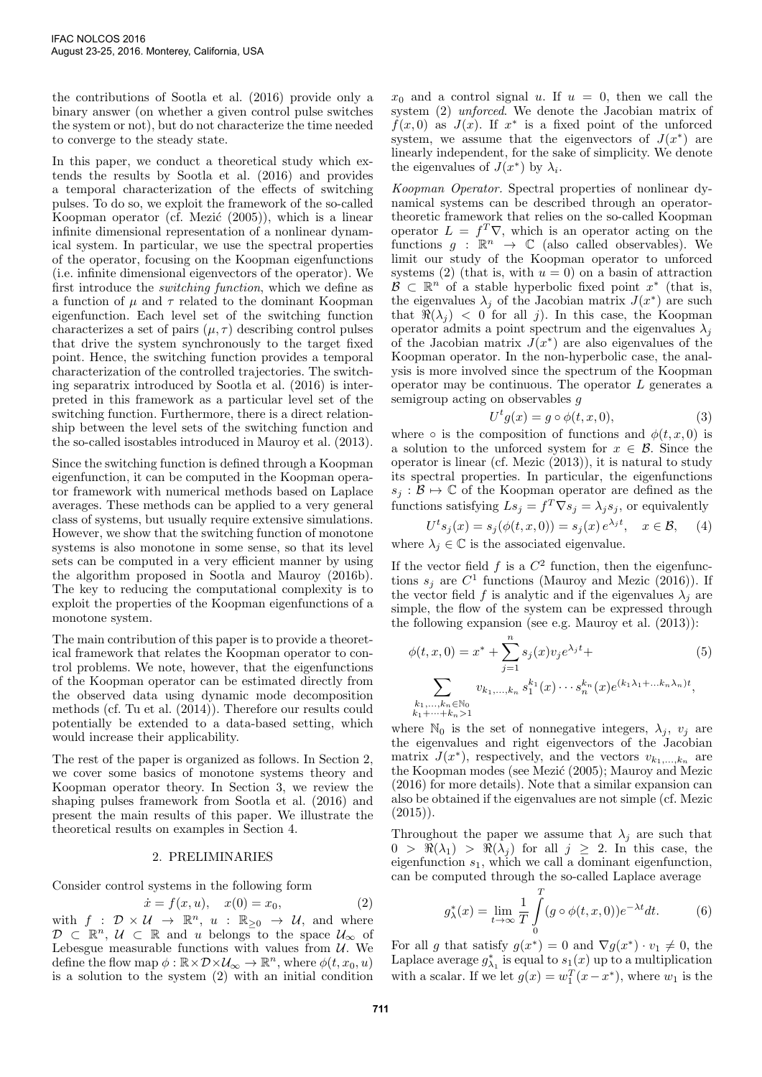the contributions of Sootla et al. (2016) provide only a binary answer (on whether a given control pulse switches the system or not), but do not characterize the time needed to converge to the steady state.

In this paper, we conduct a theoretical study which extends the results by Sootla et al. (2016) and provides a temporal characterization of the effects of switching pulses. To do so, we exploit the framework of the so-called Koopman operator (cf. Mezić  $(2005)$ ), which is a linear infinite dimensional representation of a nonlinear dynamical system. In particular, we use the spectral properties of the operator, focusing on the Koopman eigenfunctions (i.e. infinite dimensional eigenvectors of the operator). We first introduce the switching function, which we define as a function of  $\mu$  and  $\tau$  related to the dominant Koopman eigenfunction. Each level set of the switching function characterizes a set of pairs  $(\mu, \tau)$  describing control pulses that drive the system synchronously to the target fixed point. Hence, the switching function provides a temporal characterization of the controlled trajectories. The switching separatrix introduced by Sootla et al. (2016) is interpreted in this framework as a particular level set of the switching function. Furthermore, there is a direct relationship between the level sets of the switching function and the so-called isostables introduced in Mauroy et al. (2013).

Since the switching function is defined through a Koopman eigenfunction, it can be computed in the Koopman operator framework with numerical methods based on Laplace averages. These methods can be applied to a very general class of systems, but usually require extensive simulations. However, we show that the switching function of monotone systems is also monotone in some sense, so that its level sets can be computed in a very efficient manner by using the algorithm proposed in Sootla and Mauroy (2016b). The key to reducing the computational complexity is to exploit the properties of the Koopman eigenfunctions of a monotone system.

The main contribution of this paper is to provide a theoretical framework that relates the Koopman operator to control problems. We note, however, that the eigenfunctions of the Koopman operator can be estimated directly from the observed data using dynamic mode decomposition methods (cf. Tu et al. (2014)). Therefore our results could potentially be extended to a data-based setting, which would increase their applicability.

The rest of the paper is organized as follows. In Section 2, we cover some basics of monotone systems theory and Koopman operator theory. In Section 3, we review the shaping pulses framework from Sootla et al. (2016) and present the main results of this paper. We illustrate the theoretical results on examples in Section 4.

#### 2. PRELIMINARIES

Consider control systems in the following form

$$
\dot{x} = f(x, u), \quad x(0) = x_0,\tag{2}
$$

with  $f : \mathcal{D} \times \mathcal{U} \to \mathbb{R}^n$ ,  $u : \mathbb{R}_{\geq 0} \to \mathcal{U}$ , and where  $\mathcal{D} \subset \mathbb{R}^n$ ,  $\mathcal{U} \subset \mathbb{R}$  and u belongs to the space  $\mathcal{U}_{\infty}$  of Lebesgue measurable functions with values from  $U$ . We define the flow map  $\phi : \mathbb{R} \times \mathcal{D} \times \mathcal{U}_{\infty} \to \mathbb{R}^n$ , where  $\phi(t, x_0, u)$ is a solution to the system (2) with an initial condition

 $x_0$  and a control signal u. If  $u = 0$ , then we call the system (2) unforced. We denote the Jacobian matrix of  $f(x,0)$  as  $J(x)$ . If  $x^*$  is a fixed point of the unforced system, we assume that the eigenvectors of  $J(x^*)$  are linearly independent, for the sake of simplicity. We denote the eigenvalues of  $J(x^*)$  by  $\lambda_i$ .

Koopman Operator. Spectral properties of nonlinear dynamical systems can be described through an operatortheoretic framework that relies on the so-called Koopman operator  $L = f^T \nabla$ , which is an operator acting on the functions  $g : \mathbb{R}^n \to \mathbb{C}$  (also called observables). We limit our study of the Koopman operator to unforced systems (2) (that is, with  $u = 0$ ) on a basin of attraction  $\mathcal{B} \subset \mathbb{R}^n$  of a stable hyperbolic fixed point  $x^*$  (that is, the eigenvalues  $\lambda_j$  of the Jacobian matrix  $J(x^*)$  are such that  $\Re(\lambda_i) < 0$  for all j). In this case, the Koopman operator admits a point spectrum and the eigenvalues  $\lambda_i$ of the Jacobian matrix  $J(x^*)$  are also eigenvalues of the Koopman operator. In the non-hyperbolic case, the analysis is more involved since the spectrum of the Koopman operator may be continuous. The operator  $L$  generates a semigroup acting on observables g

$$
U^t g(x) = g \circ \phi(t, x, 0), \tag{3}
$$

where  $\circ$  is the composition of functions and  $\phi(t, x, 0)$  is a solution to the unforced system for  $x \in \mathcal{B}$ . Since the operator is linear (cf. Mezic (2013)), it is natural to study its spectral properties. In particular, the eigenfunctions  $s_j : \mathcal{B} \to \mathbb{C}$  of the Koopman operator are defined as the functions satisfying  $Ls_j = f^T \nabla s_j = \lambda_j s_j$ , or equivalently

$$
U^t s_j(x) = s_j(\phi(t, x, 0)) = s_j(x) e^{\lambda_j t}, \quad x \in \mathcal{B}, \quad (4)
$$

where  $\lambda_j \in \mathbb{C}$  is the associated eigenvalue.

If the vector field  $f$  is a  $C^2$  function, then the eigenfunctions  $s_j$  are  $C^1$  functions (Mauroy and Mezic (2016)). If the vector field f is analytic and if the eigenvalues  $\lambda_j$  are simple, the flow of the system can be expressed through the following expansion (see e.g. Mauroy et al. (2013)):

$$
\phi(t, x, 0) = x^* + \sum_{j=1}^n s_j(x)v_j e^{\lambda_j t} +
$$
\n
$$
\sum_{\substack{k_1, \dots, k_n \in \mathbb{N}_0 \\ k_1 + \dots + k_n > 1}} v_{k_1, \dots, k_n} s_1^{k_1}(x) \dots s_n^{k_n}(x) e^{(k_1 \lambda_1 + \dots + k_n \lambda_n)t},
$$
\n(5)

where  $\mathbb{N}_0$  is the set of nonnegative integers,  $\lambda_j$ ,  $v_j$  are the eigenvalues and right eigenvectors of the Jacobian matrix  $J(x^*)$ , respectively, and the vectors  $v_{k_1,\ldots,k_n}$  are the Koopman modes (see Mezic (2005); Mauroy and Mezic (2016) for more details). Note that a similar expansion can also be obtained if the eigenvalues are not simple (cf. Mezic  $(2015)$ .

Throughout the paper we assume that  $\lambda_i$  are such that  $0 > \Re(\lambda_1) > \Re(\lambda_j)$  for all  $j \geq 2$ . In this case, the eigenfunction  $s_1$ , which we call a dominant eigenfunction, can be computed through the so-called Laplace average

$$
g_{\lambda}^{*}(x) = \lim_{t \to \infty} \frac{1}{T} \int_{0}^{T} (g \circ \phi(t, x, 0)) e^{-\lambda t} dt.
$$
 (6)

For all g that satisfy  $g(x^*) = 0$  and  $\nabla g(x^*) \cdot v_1 \neq 0$ , the Laplace average  $g_{\lambda_1}^*$  is equal to  $s_1(x)$  up to a multiplication with a scalar. If we let  $g(x) = w_1^T(x - x^*)$ , where  $w_1$  is the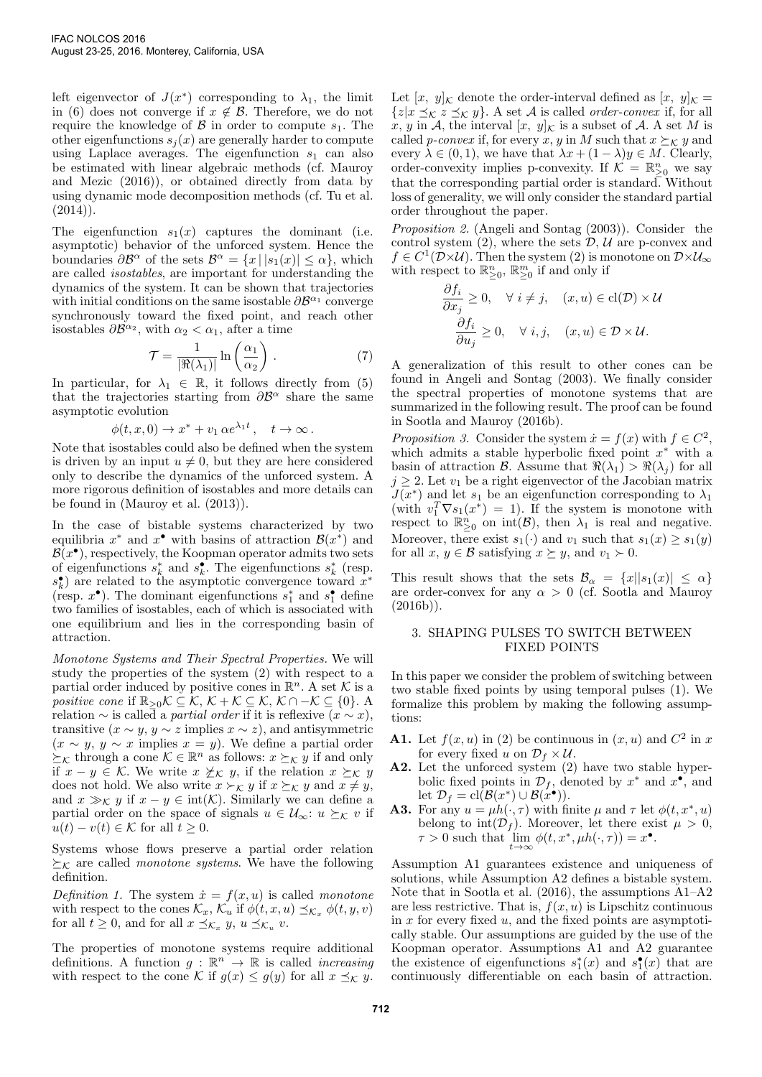left eigenvector of  $J(x^*)$  corresponding to  $\lambda_1$ , the limit in (6) does not converge if  $x \notin \mathcal{B}$ . Therefore, we do not require the knowledge of  $\beta$  in order to compute  $s_1$ . The other eigenfunctions  $s_i(x)$  are generally harder to compute using Laplace averages. The eigenfunction  $s_1$  can also be estimated with linear algebraic methods (cf. Mauroy and Mezic (2016)), or obtained directly from data by using dynamic mode decomposition methods (cf. Tu et al.  $(2014)$ .

The eigenfunction  $s_1(x)$  captures the dominant (i.e. asymptotic) behavior of the unforced system. Hence the boundaries  $\partial \mathcal{B}^{\alpha}$  of the sets  $\mathcal{B}^{\alpha} = \{x \mid |s_1(x)| \leq \alpha\}$ , which are called isostables, are important for understanding the dynamics of the system. It can be shown that trajectories with initial conditions on the same isostable  $\partial \mathcal{B}^{\alpha_1}$  converge synchronously toward the fixed point, and reach other isostables  $\partial \mathcal{B}^{\alpha_2}$ , with  $\alpha_2 < \alpha_1$ , after a time

$$
\mathcal{T} = \frac{1}{|\Re(\lambda_1)|} \ln\left(\frac{\alpha_1}{\alpha_2}\right). \tag{7}
$$

In particular, for  $\lambda_1 \in \mathbb{R}$ , it follows directly from (5) that the trajectories starting from  $\partial \mathcal{B}^{\alpha}$  share the same asymptotic evolution

$$
\phi(t, x, 0) \to x^* + v_1 \alpha e^{\lambda_1 t}, \quad t \to \infty.
$$

Note that isostables could also be defined when the system is driven by an input  $u \neq 0$ , but they are here considered only to describe the dynamics of the unforced system. A more rigorous definition of isostables and more details can be found in (Mauroy et al. (2013)).

In the case of bistable systems characterized by two equilibria  $x^*$  and  $x^{\bullet}$  with basins of attraction  $\mathcal{B}(x^*)$  and  $\mathcal{B}(x^{\bullet})$ , respectively, the Koopman operator admits two sets of eigenfunctions  $s_k^*$  and  $s_k^*$ . The eigenfunctions  $s_k^*$  (resp.  $s_k^{\bullet}$ ) are related to the asymptotic convergence toward  $x^*$ (resp.  $x^{\bullet}$ ). The dominant eigenfunctions  $s_1^*$  and  $s_1^{\bullet}$  define two families of isostables, each of which is associated with one equilibrium and lies in the corresponding basin of attraction.

Monotone Systems and Their Spectral Properties. We will study the properties of the system (2) with respect to a partial order induced by positive cones in  $\mathbb{R}^n$ . A set K is a positive cone if  $\mathbb{R}_{\geq 0}$ K  $\subseteq$  K, K + K  $\subseteq$  K, K  $\cap$  - K  $\subseteq$  {0}. A relation  $\sim$  is called a *partial order* if it is reflexive  $(x \sim x)$ , transitive  $(x \sim y, y \sim z \text{ implies } x \sim z)$ , and antisymmetric  $(x \sim y, y \sim x$  implies  $x = y$ ). We define a partial order  $\succeq_{\mathcal{K}}$  through a cone  $\mathcal{K} \in \mathbb{R}^n$  as follows:  $x \succeq_{\mathcal{K}} y$  if and only if  $x - y \in \mathcal{K}$ . We write  $x \not\geq_{\mathcal{K}} y$ , if the relation  $x \succeq_{\mathcal{K}} y$ does not hold. We also write  $x \succ_{\mathcal{K}} y$  if  $x \succeq_{\mathcal{K}} y$  and  $x \neq y$ , and  $x \gg_{\mathcal{K}} y$  if  $x - y \in \text{int}(\mathcal{K})$ . Similarly we can define a partial order on the space of signals  $u \in \mathcal{U}_{\infty}$ :  $u \succeq_{\mathcal{K}} v$  if  $u(t) - v(t) \in \mathcal{K}$  for all  $t \geq 0$ .

Systems whose flows preserve a partial order relation  $\succeq_{\mathcal{K}}$  are called *monotone systems*. We have the following definition.

Definition 1. The system  $\dot{x} = f(x, u)$  is called monotone with respect to the cones  $\mathcal{K}_x$ ,  $\mathcal{K}_u$  if  $\phi(t, x, u) \preceq_{\mathcal{K}_x} \phi(t, y, v)$ for all  $t \geq 0$ , and for all  $x \preceq_{\mathcal{K}_x} y$ ,  $u \preceq_{\mathcal{K}_u} v$ .

The properties of monotone systems require additional definitions. A function  $g : \mathbb{R}^n \to \mathbb{R}$  is called *increasing* with respect to the cone K if  $g(x) \le g(y)$  for all  $x \preceq_{\mathcal{K}} y$ . Let  $[x, y]_{\mathcal{K}}$  denote the order-interval defined as  $[x, y]_{\mathcal{K}} =$  $\{z|x \preceq_{\mathcal{K}} z \preceq_{\mathcal{K}} y\}$ . A set A is called *order-convex* if, for all x, y in A, the interval  $[x, y]_{\mathcal{K}}$  is a subset of A. A set M is called *p-convex* if, for every x, y in M such that  $x \succeq_{\mathcal{K}} y$  and every  $\lambda \in (0,1)$ , we have that  $\lambda x + (1 - \lambda)y \in M$ . Clearly, order-convexity implies p-convexity. If  $\mathcal{K} = \mathbb{R}^n_{\geq 0}$  we say that the corresponding partial order is standard. Without loss of generality, we will only consider the standard partial order throughout the paper.

Proposition 2. (Angeli and Sontag (2003)). Consider the control system  $(2)$ , where the sets  $\mathcal{D}, \mathcal{U}$  are p-convex and  $f \in C^1(\mathcal{D} \times \mathcal{U})$ . Then the system (2) is monotone on  $\mathcal{D} \times \mathcal{U}_{\infty}$ with respect to  $\mathbb{R}_{\geq 0}^n$ ,  $\mathbb{R}_{\geq 0}^m$  if and only if

$$
\frac{\partial f_i}{\partial x_j} \ge 0, \quad \forall \ i \ne j, \quad (x, u) \in \text{cl}(\mathcal{D}) \times \mathcal{U}
$$

$$
\frac{\partial f_i}{\partial u_j} \ge 0, \quad \forall \ i, j, \quad (x, u) \in \mathcal{D} \times \mathcal{U}.
$$

A generalization of this result to other cones can be found in Angeli and Sontag (2003). We finally consider the spectral properties of monotone systems that are summarized in the following result. The proof can be found in Sootla and Mauroy (2016b).

Proposition 3. Consider the system  $\dot{x} = f(x)$  with  $f \in C^2$ , which admits a stable hyperbolic fixed point  $x^*$  with a basin of attraction B. Assume that  $\Re(\lambda_1) > \Re(\lambda_i)$  for all  $j \geq 2$ . Let  $v_1$  be a right eigenvector of the Jacobian matrix  $J(x^*)$  and let  $s_1$  be an eigenfunction corresponding to  $\lambda_1$ (with  $v_1^T \nabla s_1(x^*) = 1$ ). If the system is monotone with respect to  $\mathbb{R}^n_{\geq 0}$  on  $\mathrm{int}(\mathcal{B})$ , then  $\lambda_1$  is real and negative. Moreover, there exist  $s_1(\cdot)$  and  $v_1$  such that  $s_1(x) \geq s_1(y)$ for all  $x, y \in \mathcal{B}$  satisfying  $x \succeq y$ , and  $v_1 \succ 0$ .

This result shows that the sets  $\mathcal{B}_{\alpha} = \{x | |s_1(x)| \leq \alpha\}$ are order-convex for any  $\alpha > 0$  (cf. Sootla and Mauroy  $(2016b)$ ).

### 3. SHAPING PULSES TO SWITCH BETWEEN FIXED POINTS

In this paper we consider the problem of switching between two stable fixed points by using temporal pulses (1). We formalize this problem by making the following assumptions:

- **A1.** Let  $f(x, u)$  in (2) be continuous in  $(x, u)$  and  $C^2$  in x for every fixed u on  $\mathcal{D}_f \times \mathcal{U}$ .
- A2. Let the unforced system (2) have two stable hyperbolic fixed points in  $\mathcal{D}_f$ , denoted by  $x^*$  and  $x^{\bullet}$ , and let  $\mathcal{D}_f = \text{cl}(\mathcal{B}(x^*) \cup \mathcal{B}(x^{\bullet})).$
- **A3.** For any  $u = \mu h(\cdot, \tau)$  with finite  $\mu$  and  $\tau$  let  $\phi(t, x^*, u)$ belong to  $\text{int}(\mathcal{D}_f)$ . Moreover, let there exist  $\mu > 0$ ,  $\tau > 0$  such that  $\lim_{t \to \infty} \phi(t, x^*, \mu h(\cdot, \tau)) = x^{\bullet}.$

Assumption A1 guarantees existence and uniqueness of solutions, while Assumption A2 defines a bistable system. Note that in Sootla et al. (2016), the assumptions A1–A2 are less restrictive. That is,  $f(x, u)$  is Lipschitz continuous in  $x$  for every fixed  $u$ , and the fixed points are asymptotically stable. Our assumptions are guided by the use of the Koopman operator. Assumptions A1 and A2 guarantee the existence of eigenfunctions  $s_1^*(x)$  and  $s_1^*(x)$  that are continuously differentiable on each basin of attraction.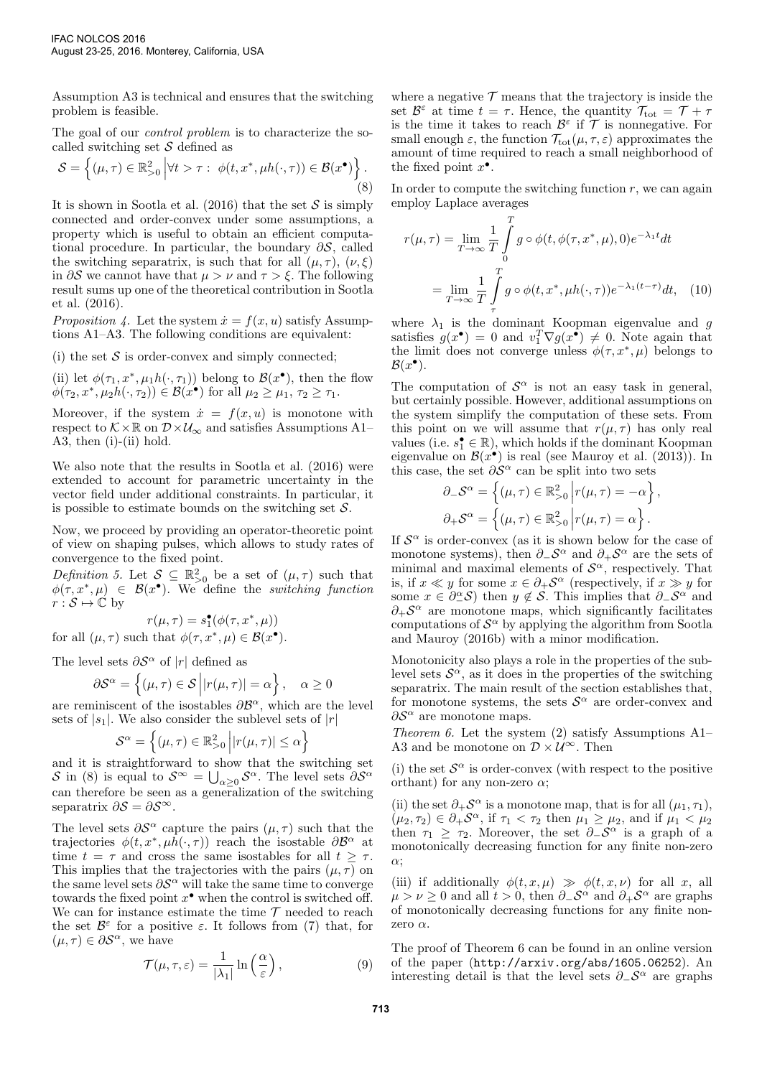Assumption A3 is technical and ensures that the switching problem is feasible.

The goal of our control problem is to characterize the socalled switching set  $S$  defined as

$$
\mathcal{S} = \left\{ (\mu, \tau) \in \mathbb{R}_{>0}^2 \, \Big| \forall t > \tau : \phi(t, x^*, \mu h(\cdot, \tau)) \in \mathcal{B}(x^{\bullet}) \right\}.
$$
\n(8)

It is shown in Sootla et al. (2016) that the set  $S$  is simply connected and order-convex under some assumptions, a property which is useful to obtain an efficient computational procedure. In particular, the boundary  $\partial S$ , called the switching separatrix, is such that for all  $(\mu, \tau)$ ,  $(\nu, \xi)$ in  $\partial S$  we cannot have that  $\mu > \nu$  and  $\tau > \xi$ . The following result sums up one of the theoretical contribution in Sootla et al. (2016).

Proposition 4. Let the system  $\dot{x} = f(x, u)$  satisfy Assumptions A1–A3. The following conditions are equivalent:

(i) the set  $S$  is order-convex and simply connected;

(ii) let  $\phi(\tau_1, x^*, \mu_1 h(\cdot, \tau_1))$  belong to  $\mathcal{B}(x^{\bullet})$ , then the flow  $\phi(\tau_2, x^*, \mu_2 h(\cdot, \tau_2)) \in \mathcal{B}(x^{\bullet})$  for all  $\mu_2 \ge \mu_1, \tau_2 \ge \tau_1$ .

Moreover, if the system  $\dot{x} = f(x, u)$  is monotone with respect to  $K \times \mathbb{R}$  on  $\mathcal{D} \times \mathcal{U}_{\infty}$  and satisfies Assumptions A1– A3, then (i)-(ii) hold.

We also note that the results in Sootla et al. (2016) were extended to account for parametric uncertainty in the vector field under additional constraints. In particular, it is possible to estimate bounds on the switching set  $S$ .

Now, we proceed by providing an operator-theoretic point of view on shaping pulses, which allows to study rates of convergence to the fixed point.

Definition 5. Let  $S \subseteq \mathbb{R}^2_{\geq 0}$  be a set of  $(\mu, \tau)$  such that  $\phi(\tau, x^*, \mu) \in \mathcal{B}(x^{\bullet})$ . We define the switching function  $r : \mathcal{S} \mapsto \mathbb{C}$  by

$$
r(\mu,\tau)=s_1^\bullet(\phi(\tau,x^*,\mu))
$$

for all  $(\mu, \tau)$  such that  $\phi(\tau, x^*, \mu) \in \mathcal{B}(x^{\bullet}).$ 

The level sets  $\partial S^{\alpha}$  of |r| defined as

$$
\partial S^{\alpha} = \left\{ (\mu, \tau) \in S \left| |r(\mu, \tau)| = \alpha \right\}, \quad \alpha \ge 0
$$

are reminiscent of the isostables  $\partial \mathcal{B}^{\alpha}$ , which are the level sets of  $|s_1|$ . We also consider the sublevel sets of  $|r|$ 

$$
\mathcal{S}^{\alpha} = \left\{ (\mu, \tau) \in \mathbb{R}^2_{>0} \left| |r(\mu, \tau)| \leq \alpha \right. \right\}
$$

and it is straightforward to show that the switching set S in (8) is equal to  $S^{\infty} = \bigcup_{\alpha \geq 0} S^{\alpha}$ . The level sets  $\partial S^{\alpha}$ can therefore be seen as a generalization of the switching separatrix  $\partial S = \partial S^{\infty}$ .

The level sets  $\partial S^{\alpha}$  capture the pairs  $(\mu, \tau)$  such that the trajectories  $\phi(t, x^*, \mu \bar{h}(\cdot, \tau))$  reach the isostable  $\partial \mathcal{B}^{\alpha}$  at time  $t = \tau$  and cross the same isostables for all  $t \geq \tau$ . This implies that the trajectories with the pairs  $(\mu, \tau)$  on the same level sets  $\partial S^{\alpha}$  will take the same time to converge towards the fixed point  $x^{\bullet}$  when the control is switched off. We can for instance estimate the time  $\mathcal T$  needed to reach the set  $\mathcal{B}^{\varepsilon}$  for a positive  $\varepsilon$ . It follows from (7) that, for  $(\mu, \tau) \in \partial S^{\alpha}$ , we have

$$
\mathcal{T}(\mu,\tau,\varepsilon) = \frac{1}{|\lambda_1|} \ln\left(\frac{\alpha}{\varepsilon}\right),\tag{9}
$$

where a negative  $\mathcal T$  means that the trajectory is inside the set  $\mathcal{B}^{\varepsilon}$  at time  $t = \tau$ . Hence, the quantity  $\mathcal{T}_{\text{tot}} = \mathcal{T} + \tau$ is the time it takes to reach  $\mathcal{B}^{\varepsilon}$  if  $\mathcal T$  is nonnegative. For small enough  $\varepsilon$ , the function  $\mathcal{T}_{tot}(\mu, \tau, \varepsilon)$  approximates the amount of time required to reach a small neighborhood of the fixed point  $x^{\bullet}$ .

In order to compute the switching function  $r$ , we can again employ Laplace averages

$$
r(\mu, \tau) = \lim_{T \to \infty} \frac{1}{T} \int_{0}^{T} g \circ \phi(t, \phi(\tau, x^*, \mu), 0) e^{-\lambda_1 t} dt
$$

$$
= \lim_{T \to \infty} \frac{1}{T} \int_{\tau}^{T} g \circ \phi(t, x^*, \mu h(\cdot, \tau)) e^{-\lambda_1 (t - \tau)} dt, \quad (10)
$$

where  $\lambda_1$  is the dominant Koopman eigenvalue and g satisfies  $g(x^{\bullet}) = 0$  and  $v_1^T \nabla g(x^{\bullet}) \neq 0$ . Note again that the limit does not converge unless  $\phi(\tau, x^*, \mu)$  belongs to  $\mathcal{B}(x^{\bullet}).$ 

The computation of  $\mathcal{S}^{\alpha}$  is not an easy task in general, but certainly possible. However, additional assumptions on the system simplify the computation of these sets. From this point on we will assume that  $r(\mu, \tau)$  has only real values (i.e.  $s_1^{\bullet} \in \mathbb{R}$ ), which holds if the dominant Koopman eigenvalue on  $\mathcal{B}(x^{\bullet})$  is real (see Mauroy et al. (2013)). In this case, the set  $\partial \mathcal{S}^{\alpha}$  can be split into two sets

$$
\partial_{-}S^{\alpha} = \left\{ (\mu, \tau) \in \mathbb{R}_{>0}^{2} \middle| r(\mu, \tau) = -\alpha \right\},
$$

$$
\partial_{+}S^{\alpha} = \left\{ (\mu, \tau) \in \mathbb{R}_{>0}^{2} \middle| r(\mu, \tau) = \alpha \right\}.
$$

If  $S^{\alpha}$  is order-convex (as it is shown below for the case of monotone systems), then  $\partial_-\mathcal{S}^{\alpha}$  and  $\partial_+\mathcal{S}^{\alpha}$  are the sets of minimal and maximal elements of  $\mathcal{S}^{\alpha}$ , respectively. That is, if  $x \ll y$  for some  $x \in \partial_+ \mathcal{S}^\alpha$  (respectively, if  $x \gg y$  for some  $x \in \partial_{-}^{\alpha} S$  then  $y \notin S$ . This implies that  $\partial_{-} S^{\alpha}$  and  $\partial_+ \mathcal{S}^\alpha$  are monotone maps, which significantly facilitates computations of  $\mathcal{S}^{\alpha}$  by applying the algorithm from Sootla and Mauroy (2016b) with a minor modification.

Monotonicity also plays a role in the properties of the sublevel sets  $\mathcal{S}^{\alpha}$ , as it does in the properties of the switching separatrix. The main result of the section establishes that, for monotone systems, the sets  $S^{\alpha}$  are order-convex and  $\partial S^{\alpha}$  are monotone maps.

Theorem 6. Let the system  $(2)$  satisfy Assumptions A1– A3 and be monotone on  $\mathcal{D} \times \mathcal{U}^{\infty}$ . Then

(i) the set  $\mathcal{S}^{\alpha}$  is order-convex (with respect to the positive orthant) for any non-zero  $\alpha$ :

(ii) the set  $\partial_+ \mathcal{S}^\alpha$  is a monotone map, that is for all  $(\mu_1, \tau_1)$ ,  $(\mu_2, \tau_2) \in \partial_+ \mathcal{S}^{\alpha}$ , if  $\tau_1 < \tau_2$  then  $\mu_1 \geq \mu_2$ , and if  $\mu_1 < \mu_2$ then  $\tau_1 \geq \tau_2$ . Moreover, the set  $\partial_{-}S^{\alpha}$  is a graph of a monotonically decreasing function for any finite non-zero α;

(iii) if additionally  $\phi(t, x, \mu) \gg \phi(t, x, \nu)$  for all x, all  $\mu > \nu \geq 0$  and all  $t > 0$ , then  $\partial_{-} \mathcal{S}^{\alpha}$  and  $\partial_{+} \mathcal{S}^{\alpha}$  are graphs of monotonically decreasing functions for any finite nonzero  $\alpha$ .

The proof of Theorem 6 can be found in an online version of the paper (http://arxiv.org/abs/1605.06252). An interesting detail is that the level sets  $\partial_{-}S^{\alpha}$  are graphs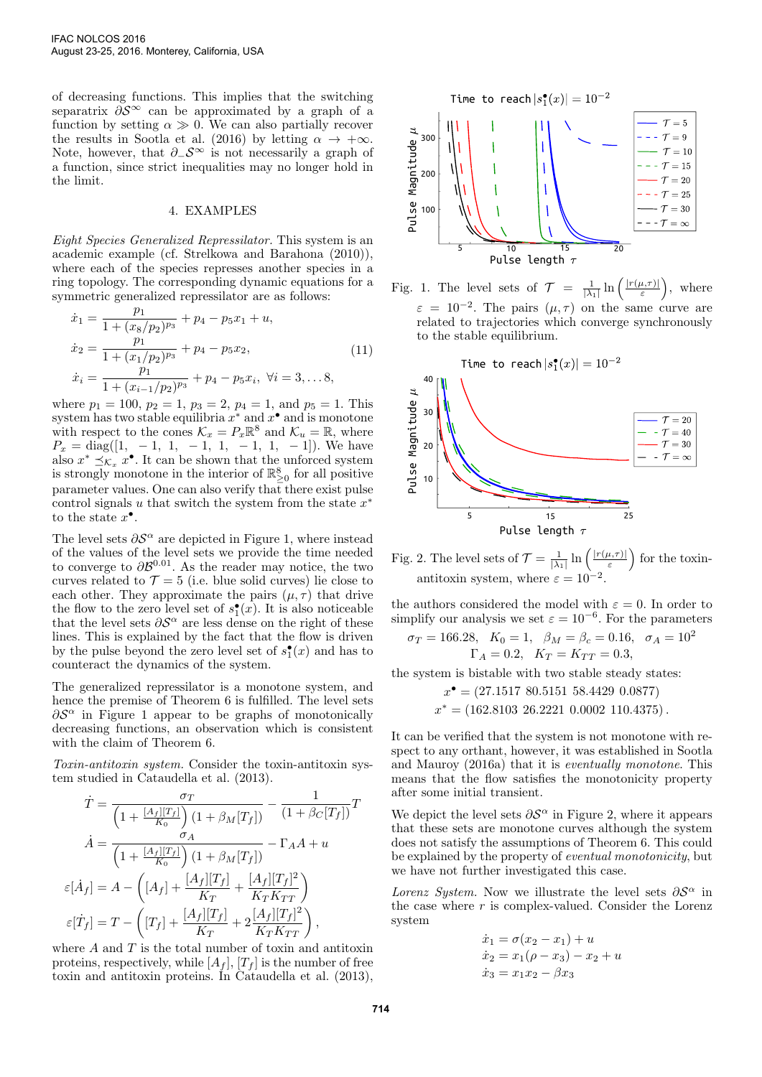of decreasing functions. This implies that the switching separatrix  $\partial S^{\infty}$  can be approximated by a graph of a function by setting  $\alpha \gg 0$ . We can also partially recover the results in Sootla et al. (2016) by letting  $\alpha \to +\infty$ . Note, however, that  $\partial_-\mathcal{S}^{\infty}$  is not necessarily a graph of a function, since strict inequalities may no longer hold in the limit.

## 4. EXAMPLES

Eight Species Generalized Repressilator. This system is an academic example (cf. Strelkowa and Barahona (2010)), where each of the species represses another species in a ring topology. The corresponding dynamic equations for a symmetric generalized repressilator are as follows:  $n_1$ 

$$
\begin{aligned}\n\dot{x}_1 &= \frac{p_1}{1 + (x_8/p_2)^{p_3}} + p_4 - p_5 x_1 + u, \\
\dot{x}_2 &= \frac{p_1}{1 + (x_1/p_2)^{p_3}} + p_4 - p_5 x_2, \\
\dot{x}_i &= \frac{p_1}{1 + (x_{i-1}/p_2)^{p_3}} + p_4 - p_5 x_i, \ \forall i = 3, \dots 8,\n\end{aligned} \tag{11}
$$

where  $p_1 = 100$ ,  $p_2 = 1$ ,  $p_3 = 2$ ,  $p_4 = 1$ , and  $p_5 = 1$ . This system has two stable equilibria  $x^*$  and  $x^{\bullet}$  and is monotone with respect to the cones  $\mathcal{K}_x = P_x \mathbb{R}^8$  and  $\mathcal{K}_u = \mathbb{R}$ , where  $P_x = \text{diag}([1, -1, 1, -1, 1, -1, 1, -1])$ . We have also  $x^* \preceq_{\mathcal{K}_x} x^{\bullet}$ . It can be shown that the unforced system is strongly monotone in the interior of  $\mathbb{R}^8_{\geq 0}$  for all positive parameter values. One can also verify that there exist pulse control signals u that switch the system from the state  $x^*$ to the state  $x^{\bullet}$ .

The level sets  $\partial \mathcal{S}^{\alpha}$  are depicted in Figure 1, where instead of the values of the level sets we provide the time needed to converge to  $\partial \mathcal{B}^{0.01}$ . As the reader may notice, the two curves related to  $\mathcal{T} = 5$  (i.e. blue solid curves) lie close to each other. They approximate the pairs  $(\mu, \tau)$  that drive the flow to the zero level set of  $s_1^{\bullet}(x)$ . It is also noticeable that the level sets  $\partial S^{\alpha}$  are less dense on the right of these lines. This is explained by the fact that the flow is driven by the pulse beyond the zero level set of  $s_1^{\bullet}(x)$  and has to counteract the dynamics of the system.

The generalized repressilator is a monotone system, and hence the premise of Theorem 6 is fulfilled. The level sets  $\partial \mathcal{S}^{\alpha}$  in Figure 1 appear to be graphs of monotonically decreasing functions, an observation which is consistent with the claim of Theorem 6.

Toxin-antitoxin system. Consider the toxin-antitoxin system studied in Cataudella et al. (2013).

$$
\dot{T} = \frac{\sigma_T}{\left(1 + \frac{[A_f][T_f]}{K_0}\right)(1 + \beta_M[T_f])} - \frac{1}{(1 + \beta_C[T_f])}T
$$
\n
$$
\dot{A} = \frac{\sigma_A}{\left(1 + \frac{[A_f][T_f]}{K_0}\right)(1 + \beta_M[T_f])} - \Gamma_A A + u
$$
\n
$$
\varepsilon[\dot{A}_f] = A - \left([A_f] + \frac{[A_f][T_f]}{K_T} + \frac{[A_f][T_f]^2}{K_T K_{TT}}\right)
$$
\n
$$
\varepsilon[\dot{T}_f] = T - \left([T_f] + \frac{[A_f][T_f]}{K_T} + 2\frac{[A_f][T_f]^2}{K_T K_{TT}}\right),
$$

where  $A$  and  $T$  is the total number of toxin and antitoxin proteins, respectively, while  $[A_f]$ ,  $[T_f]$  is the number of free toxin and antitoxin proteins. In Cataudella et al. (2013),



Fig. 1. The level sets of  $\mathcal{T} = \frac{1}{|\lambda_1|} \ln \left( \frac{|r(\mu,\tau)|}{\varepsilon} \right)$  $\left(\frac{u,\tau}{\varepsilon}\right)$ , where  $\varepsilon = 10^{-2}$ . The pairs  $(\mu, \tau)$  on the same curve are related to trajectories which converge synchronously to the stable equilibrium.



Fig. 2. The level sets of  $\mathcal{T} = \frac{1}{|\lambda_1|} \ln \left( \frac{|r(\mu,\tau)|}{\varepsilon} \right)$  $\frac{u,\tau)|}{\varepsilon}$  for the toxinantitoxin system, where  $\varepsilon = 10^{-2}$ .

the authors considered the model with  $\varepsilon = 0$ . In order to simplify our analysis we set  $\varepsilon = 10^{-6}$ . For the parameters

$$
\sigma_T = 166.28
$$
,  $K_0 = 1$ ,  $\beta_M = \beta_c = 0.16$ ,  $\sigma_A = 10^2$   
\n $\Gamma_A = 0.2$ ,  $K_T = K_{TT} = 0.3$ ,

the system is bistable with two stable steady states:

$$
x^{\bullet} = (27.1517 \ 80.5151 \ 58.4429 \ 0.0877)
$$

$$
x^* = (162.8103 \ 26.2221 \ 0.0002 \ 110.4375).
$$

It can be verified that the system is not monotone with respect to any orthant, however, it was established in Sootla and Mauroy (2016a) that it is eventually monotone. This means that the flow satisfies the monotonicity property after some initial transient.

We depict the level sets  $\partial S^{\alpha}$  in Figure 2, where it appears that these sets are monotone curves although the system does not satisfy the assumptions of Theorem 6. This could be explained by the property of eventual monotonicity, but we have not further investigated this case.

Lorenz System. Now we illustrate the level sets  $\partial S^{\alpha}$  in the case where  $r$  is complex-valued. Consider the Lorenz system

$$
\dot{x}_1 = \sigma(x_2 - x_1) + u \n\dot{x}_2 = x_1(\rho - x_3) - x_2 + u \n\dot{x}_3 = x_1x_2 - \beta x_3
$$